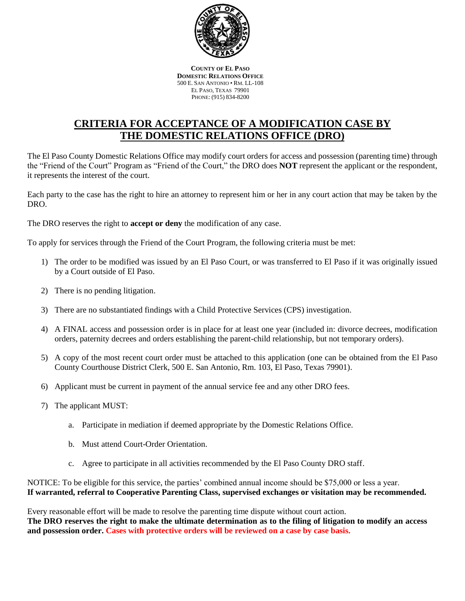

**COUNTY OF EL PASO DOMESTIC RELATIONS OFFICE** 500 E. SAN ANTONIO • RM. LL-108 EL PASO, TEXAS 79901 PHONE: (915) 834-8200

# **CRITERIA FOR ACCEPTANCE OF A MODIFICATION CASE BY THE DOMESTIC RELATIONS OFFICE (DRO)**

The El Paso County Domestic Relations Office may modify court orders for access and possession (parenting time) through the "Friend of the Court" Program as "Friend of the Court," the DRO does **NOT** represent the applicant or the respondent, it represents the interest of the court.

Each party to the case has the right to hire an attorney to represent him or her in any court action that may be taken by the DRO.

The DRO reserves the right to **accept or deny** the modification of any case.

To apply for services through the Friend of the Court Program, the following criteria must be met:

- 1) The order to be modified was issued by an El Paso Court, or was transferred to El Paso if it was originally issued by a Court outside of El Paso.
- 2) There is no pending litigation.
- 3) There are no substantiated findings with a Child Protective Services (CPS) investigation.
- 4) A FINAL access and possession order is in place for at least one year (included in: divorce decrees, modification orders, paternity decrees and orders establishing the parent-child relationship, but not temporary orders).
- 5) A copy of the most recent court order must be attached to this application (one can be obtained from the El Paso County Courthouse District Clerk, 500 E. San Antonio, Rm. 103, El Paso, Texas 79901).
- 6) Applicant must be current in payment of the annual service fee and any other DRO fees.
- 7) The applicant MUST:
	- a. Participate in mediation if deemed appropriate by the Domestic Relations Office.
	- b. Must attend Court-Order Orientation.
	- c. Agree to participate in all activities recommended by the El Paso County DRO staff.

NOTICE: To be eligible for this service, the parties' combined annual income should be \$75,000 or less a year. **If warranted, referral to Cooperative Parenting Class, supervised exchanges or visitation may be recommended.** 

Every reasonable effort will be made to resolve the parenting time dispute without court action. **The DRO reserves the right to make the ultimate determination as to the filing of litigation to modify an access and possession order. Cases with protective orders will be reviewed on a case by case basis.**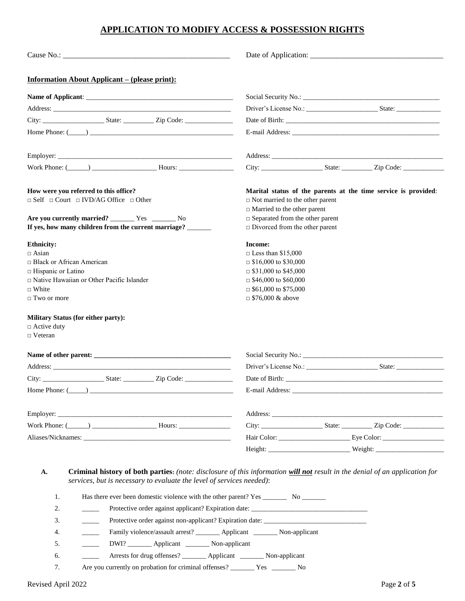### **APPLICATION TO MODIFY ACCESS & POSSESSION RIGHTS**

| <b>Information About Applicant – (please print):</b>                                                                                                                                                                           |                                                                                                                                                                                                                                   |  |  |
|--------------------------------------------------------------------------------------------------------------------------------------------------------------------------------------------------------------------------------|-----------------------------------------------------------------------------------------------------------------------------------------------------------------------------------------------------------------------------------|--|--|
|                                                                                                                                                                                                                                |                                                                                                                                                                                                                                   |  |  |
|                                                                                                                                                                                                                                |                                                                                                                                                                                                                                   |  |  |
|                                                                                                                                                                                                                                |                                                                                                                                                                                                                                   |  |  |
| Home Phone: $(\_\_)$                                                                                                                                                                                                           |                                                                                                                                                                                                                                   |  |  |
| Employer:                                                                                                                                                                                                                      |                                                                                                                                                                                                                                   |  |  |
|                                                                                                                                                                                                                                |                                                                                                                                                                                                                                   |  |  |
| How were you referred to this office?<br>$\Box$ Self $\Box$ Court $\Box$ IVD/AG Office $\Box$ Other<br>Are you currently married? __________ Yes __________ No<br>If yes, how many children from the current marriage? ______  | Marital status of the parents at the time service is provided:<br>$\Box$ Not married to the other parent<br>$\Box$ Married to the other parent<br>$\Box$ Separated from the other parent<br>$\Box$ Divorced from the other parent |  |  |
| <b>Ethnicity:</b><br>$\Box$ Asian<br>$\Box$ Black or African American<br>□ Hispanic or Latino<br>$\Box$ Native Hawaiian or Other Pacific Islander<br>$\Box$ White<br>$\Box$ Two or more                                        | Income:<br>$\Box$ Less than \$15,000<br>$\Box$ \$16,000 to \$30,000<br>$\Box$ \$31,000 to \$45,000<br>$\Box$ \$46,000 to \$60,000<br>$\Box$ \$61,000 to \$75,000<br>$\Box$ \$76,000 & above                                       |  |  |
| <b>Military Status (for either party):</b><br>$\Box$ Active duty<br>$\Box$ Veteran                                                                                                                                             |                                                                                                                                                                                                                                   |  |  |
|                                                                                                                                                                                                                                |                                                                                                                                                                                                                                   |  |  |
| Address: Analysis and the contract of the contract of the contract of the contract of the contract of the contract of the contract of the contract of the contract of the contract of the contract of the contract of the cont | Driver's License No.: State:                                                                                                                                                                                                      |  |  |
| City: __________________________State: ________________Zip Code: ________________                                                                                                                                              |                                                                                                                                                                                                                                   |  |  |
| $Home$ Phone: $($                                                                                                                                                                                                              |                                                                                                                                                                                                                                   |  |  |
|                                                                                                                                                                                                                                |                                                                                                                                                                                                                                   |  |  |
|                                                                                                                                                                                                                                | City: __________________________State: ________________Zip Code: _______________                                                                                                                                                  |  |  |
|                                                                                                                                                                                                                                |                                                                                                                                                                                                                                   |  |  |
|                                                                                                                                                                                                                                |                                                                                                                                                                                                                                   |  |  |
|                                                                                                                                                                                                                                |                                                                                                                                                                                                                                   |  |  |

#### **A. Criminal history of both parties:** *(note: disclosure of this information will not result in the denial of an application for services, but is necessary to evaluate the level of services needed)*:

| 1. | Has there ever been domestic violence with the other parent? Yes No   |
|----|-----------------------------------------------------------------------|
| 2. | Protective order against applicant? Expiration date:                  |
| 3. | Protective order against non-applicant? Expiration date:              |
| 4. | Family violence/assault arrest? Applicant Non-applicant               |
| 5. | DWI? ________ Applicant _________ Non-applicant                       |
| 6. | Arrests for drug offenses? ________ Applicant _________ Non-applicant |
|    | Are you currently on probation for criminal offenses? No No           |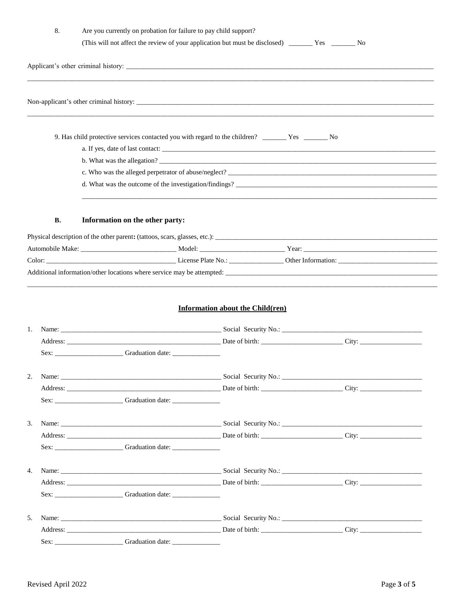|    | 8.        | Are you currently on probation for failure to pay child support?<br>(This will not affect the review of your application but must be disclosed) ________ Yes ________ No |                                         |  |
|----|-----------|--------------------------------------------------------------------------------------------------------------------------------------------------------------------------|-----------------------------------------|--|
|    |           |                                                                                                                                                                          |                                         |  |
|    |           |                                                                                                                                                                          |                                         |  |
|    |           |                                                                                                                                                                          |                                         |  |
|    |           |                                                                                                                                                                          |                                         |  |
|    |           |                                                                                                                                                                          |                                         |  |
|    |           |                                                                                                                                                                          |                                         |  |
|    |           |                                                                                                                                                                          |                                         |  |
|    |           |                                                                                                                                                                          |                                         |  |
|    | <b>B.</b> | Information on the other party:                                                                                                                                          |                                         |  |
|    |           |                                                                                                                                                                          |                                         |  |
|    |           |                                                                                                                                                                          |                                         |  |
|    |           |                                                                                                                                                                          |                                         |  |
|    |           |                                                                                                                                                                          |                                         |  |
| 1. |           |                                                                                                                                                                          | <b>Information about the Child(ren)</b> |  |
|    |           | Sex: _________________________Graduation date: _________________________________                                                                                         |                                         |  |
| 2. |           |                                                                                                                                                                          |                                         |  |
|    |           |                                                                                                                                                                          |                                         |  |
|    |           | Sex: ________________________Graduation date: __________________________________                                                                                         |                                         |  |
| 3. |           |                                                                                                                                                                          |                                         |  |
|    |           |                                                                                                                                                                          |                                         |  |
|    |           | Sex: _______________________Graduation date: ___________________________________                                                                                         |                                         |  |
| 4. |           |                                                                                                                                                                          |                                         |  |
|    |           |                                                                                                                                                                          |                                         |  |
|    |           | Sex: ________________________Graduation date: __________________________________                                                                                         |                                         |  |
| 5. |           |                                                                                                                                                                          |                                         |  |
|    |           |                                                                                                                                                                          |                                         |  |
|    |           |                                                                                                                                                                          |                                         |  |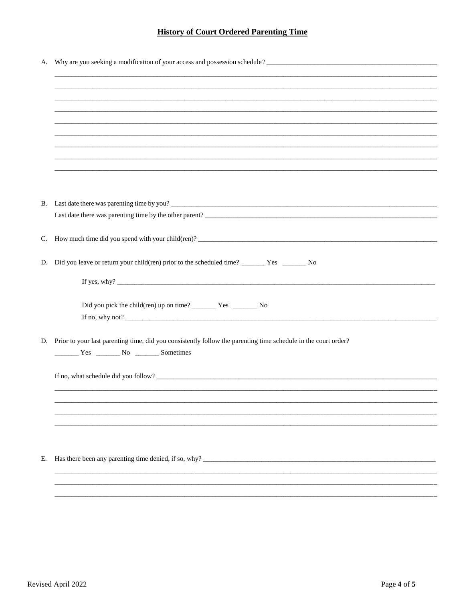## **History of Court Ordered Parenting Time**

| А. |                                                                                                                |  |  |
|----|----------------------------------------------------------------------------------------------------------------|--|--|
|    |                                                                                                                |  |  |
|    |                                                                                                                |  |  |
|    |                                                                                                                |  |  |
|    |                                                                                                                |  |  |
|    |                                                                                                                |  |  |
|    |                                                                                                                |  |  |
|    |                                                                                                                |  |  |
|    |                                                                                                                |  |  |
|    |                                                                                                                |  |  |
|    |                                                                                                                |  |  |
|    |                                                                                                                |  |  |
|    | B. Last date there was parenting time by you?                                                                  |  |  |
|    |                                                                                                                |  |  |
|    |                                                                                                                |  |  |
| C. | How much time did you spend with your child(ren)?                                                              |  |  |
|    |                                                                                                                |  |  |
|    | D. Did you leave or return your child(ren) prior to the scheduled time? __________ Yes __________ No           |  |  |
|    |                                                                                                                |  |  |
|    |                                                                                                                |  |  |
|    |                                                                                                                |  |  |
|    |                                                                                                                |  |  |
|    |                                                                                                                |  |  |
| D. | Prior to your last parenting time, did you consistently follow the parenting time schedule in the court order? |  |  |
|    | Ves No Sometimes                                                                                               |  |  |
|    |                                                                                                                |  |  |
|    |                                                                                                                |  |  |
|    |                                                                                                                |  |  |
|    |                                                                                                                |  |  |
|    |                                                                                                                |  |  |
|    |                                                                                                                |  |  |
|    |                                                                                                                |  |  |
|    |                                                                                                                |  |  |
| Е. |                                                                                                                |  |  |
|    |                                                                                                                |  |  |
|    |                                                                                                                |  |  |
|    |                                                                                                                |  |  |